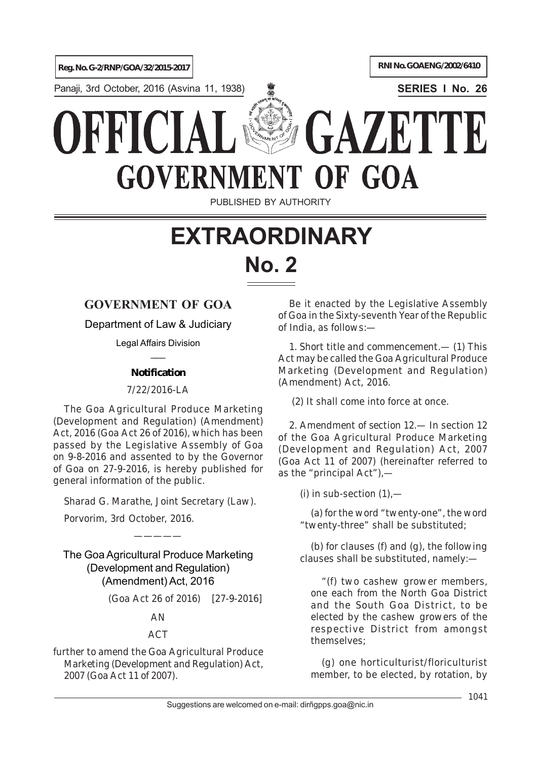**Reg. No. G-2/RNP/GOA/32/2015-2017 RNI No. GOAENG/2002/6410** 

Panaji, 3rd October, 2016 (Asvina 11, 1938) **SERIES I No. 26**

# GAZETTE ERIC **GOVERNMENT** OF GOA

PUBLISHED BY AUTHORITY

# **EXTRAORDINARY No. 2**

## **GOVERNMENT OF GOA**

Department of Law & Judiciary

Legal Affairs Division  $\overline{\phantom{a}}$ 

### **Notification**

7/22/2016-LA

The Goa Agricultural Produce Marketing (Development and Regulation) (Amendment) Act, 2016 (Goa Act 26 of 2016), which has been passed by the Legislative Assembly of Goa on 9-8-2016 and assented to by the Governor of Goa on 27-9-2016, is hereby published for general information of the public.

*Sharad G. Marathe*, Joint Secretary (Law).

Porvorim, 3rd October, 2016.

The GoaAgricultural Produce Marketing (Development and Regulation) (Amendment) Act, 2016

—————

(Goa Act 26 of 2016) [27-9-2016]

AN

### ACT

*further to amend the Goa Agricultural Produce Marketing (Development and Regulation) Act, 2007 (Goa Act 11 of 2007).*

Be it enacted by the Legislative Assembly of Goa in the Sixty-seventh Year of the Republic of India, as follows:—

1. *Short title and commencement*.— (*1*) This Act may be called the Goa Agricultural Produce Marketing (Development and Regulation) (Amendment) Act, 2016.

(*2*) It shall come into force at once.

2. *Amendment of section 12*.— In section 12 of the Goa Agricultural Produce Marketing (Development and Regulation) Act, 2007 (Goa Act 11 of 2007) (hereinafter referred to as the "principal Act"),—

 $(i)$  in sub-section  $(i)$ ,—

(*a*) for the word "twenty-one", the word "twenty-three" shall be substituted;

(*b*) for clauses (*f*) and (*g*), the following clauses shall be substituted, namely:—

"(*f*) two cashew grower members, one each from the North Goa District and the South Goa District, to be elected by the cashew growers of the respective District from amongst themselves;

(*g*) one horticulturist/floriculturist member, to be elected, by rotation, by